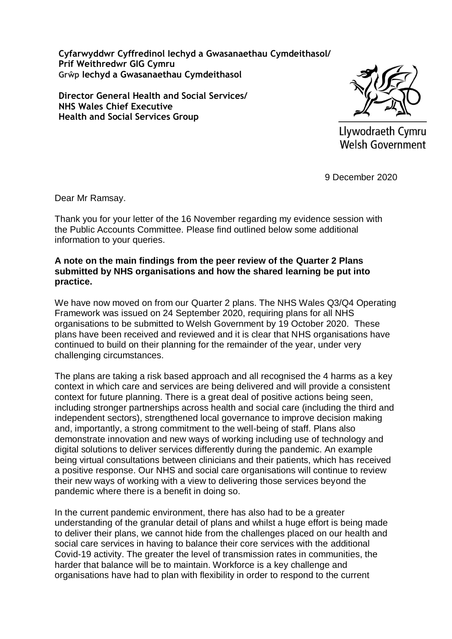**Cyfarwyddwr Cyffredinol Iechyd a Gwasanaethau Cymdeithasol/ Prif Weithredwr GIG Cymru Grŵp Iechyd a Gwasanaethau Cymdeithasol**

**Director General Health and Social Services/ NHS Wales Chief Executive Health and Social Services Group**



Llywodraeth Cymru Welsh Government

9 December 2020

Dear Mr Ramsay.

Thank you for your letter of the 16 November regarding my evidence session with the Public Accounts Committee. Please find outlined below some additional information to your queries.

### **A note on the main findings from the peer review of the Quarter 2 Plans submitted by NHS organisations and how the shared learning be put into practice.**

We have now moved on from our Quarter 2 plans. The NHS Wales Q3/Q4 Operating Framework was issued on 24 September 2020, requiring plans for all NHS organisations to be submitted to Welsh Government by 19 October 2020. These plans have been received and reviewed and it is clear that NHS organisations have continued to build on their planning for the remainder of the year, under very challenging circumstances.

The plans are taking a risk based approach and all recognised the 4 harms as a key context in which care and services are being delivered and will provide a consistent context for future planning. There is a great deal of positive actions being seen, including stronger partnerships across health and social care (including the third and independent sectors), strengthened local governance to improve decision making and, importantly, a strong commitment to the well-being of staff. Plans also demonstrate innovation and new ways of working including use of technology and digital solutions to deliver services differently during the pandemic. An example being virtual consultations between clinicians and their patients, which has received a positive response. Our NHS and social care organisations will continue to review their new ways of working with a view to delivering those services beyond the pandemic where there is a benefit in doing so.

In the current pandemic environment, there has also had to be a greater understanding of the granular detail of plans and whilst a huge effort is being made to deliver their plans, we cannot hide from the challenges placed on our health and social care services in having to balance their core services with the additional Covid-19 activity. The greater the level of transmission rates in communities, the harder that balance will be to maintain. Workforce is a key challenge and organisations have had to plan with flexibility in order to respond to the current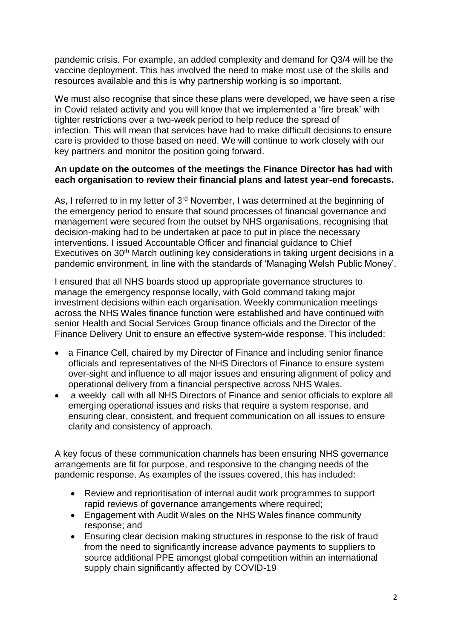pandemic crisis. For example, an added complexity and demand for Q3/4 will be the vaccine deployment. This has involved the need to make most use of the skills and resources available and this is why partnership working is so important.

We must also recognise that since these plans were developed, we have seen a rise in Covid related activity and you will know that we implemented a 'fire break' with tighter restrictions over a two-week period to help reduce the spread of infection. This will mean that services have had to make difficult decisions to ensure care is provided to those based on need. We will continue to work closely with our key partners and monitor the position going forward.

## **An update on the outcomes of the meetings the Finance Director has had with each organisation to review their financial plans and latest year-end forecasts.**

As, I referred to in my letter of 3<sup>rd</sup> November, I was determined at the beginning of the emergency period to ensure that sound processes of financial governance and management were secured from the outset by NHS organisations, recognising that decision-making had to be undertaken at pace to put in place the necessary interventions. I issued Accountable Officer and financial guidance to Chief Executives on 30<sup>th</sup> March outlining key considerations in taking urgent decisions in a pandemic environment, in line with the standards of 'Managing Welsh Public Money'.

I ensured that all NHS boards stood up appropriate governance structures to manage the emergency response locally, with Gold command taking major investment decisions within each organisation. Weekly communication meetings across the NHS Wales finance function were established and have continued with senior Health and Social Services Group finance officials and the Director of the Finance Delivery Unit to ensure an effective system-wide response. This included:

- a Finance Cell, chaired by my Director of Finance and including senior finance officials and representatives of the NHS Directors of Finance to ensure system over-sight and influence to all major issues and ensuring alignment of policy and operational delivery from a financial perspective across NHS Wales.
- a weekly call with all NHS Directors of Finance and senior officials to explore all emerging operational issues and risks that require a system response, and ensuring clear, consistent, and frequent communication on all issues to ensure clarity and consistency of approach.

A key focus of these communication channels has been ensuring NHS governance arrangements are fit for purpose, and responsive to the changing needs of the pandemic response. As examples of the issues covered, this has included:

- Review and reprioritisation of internal audit work programmes to support rapid reviews of governance arrangements where required;
- Engagement with Audit Wales on the NHS Wales finance community response; and
- Ensuring clear decision making structures in response to the risk of fraud from the need to significantly increase advance payments to suppliers to source additional PPE amongst global competition within an international supply chain significantly affected by COVID-19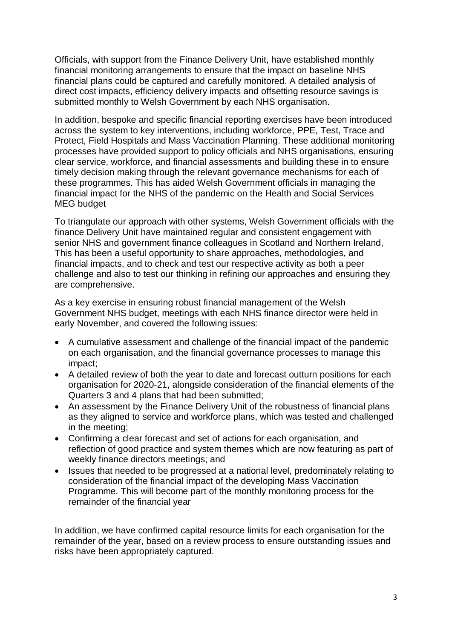Officials, with support from the Finance Delivery Unit, have established monthly financial monitoring arrangements to ensure that the impact on baseline NHS financial plans could be captured and carefully monitored. A detailed analysis of direct cost impacts, efficiency delivery impacts and offsetting resource savings is submitted monthly to Welsh Government by each NHS organisation.

In addition, bespoke and specific financial reporting exercises have been introduced across the system to key interventions, including workforce, PPE, Test, Trace and Protect, Field Hospitals and Mass Vaccination Planning. These additional monitoring processes have provided support to policy officials and NHS organisations, ensuring clear service, workforce, and financial assessments and building these in to ensure timely decision making through the relevant governance mechanisms for each of these programmes. This has aided Welsh Government officials in managing the financial impact for the NHS of the pandemic on the Health and Social Services MEG budget

To triangulate our approach with other systems, Welsh Government officials with the finance Delivery Unit have maintained regular and consistent engagement with senior NHS and government finance colleagues in Scotland and Northern Ireland, This has been a useful opportunity to share approaches, methodologies, and financial impacts, and to check and test our respective activity as both a peer challenge and also to test our thinking in refining our approaches and ensuring they are comprehensive.

As a key exercise in ensuring robust financial management of the Welsh Government NHS budget, meetings with each NHS finance director were held in early November, and covered the following issues:

- A cumulative assessment and challenge of the financial impact of the pandemic on each organisation, and the financial governance processes to manage this impact;
- A detailed review of both the year to date and forecast outturn positions for each organisation for 2020-21, alongside consideration of the financial elements of the Quarters 3 and 4 plans that had been submitted;
- An assessment by the Finance Delivery Unit of the robustness of financial plans as they aligned to service and workforce plans, which was tested and challenged in the meeting;
- Confirming a clear forecast and set of actions for each organisation, and reflection of good practice and system themes which are now featuring as part of weekly finance directors meetings; and
- Issues that needed to be progressed at a national level, predominately relating to consideration of the financial impact of the developing Mass Vaccination Programme. This will become part of the monthly monitoring process for the remainder of the financial year

In addition, we have confirmed capital resource limits for each organisation for the remainder of the year, based on a review process to ensure outstanding issues and risks have been appropriately captured.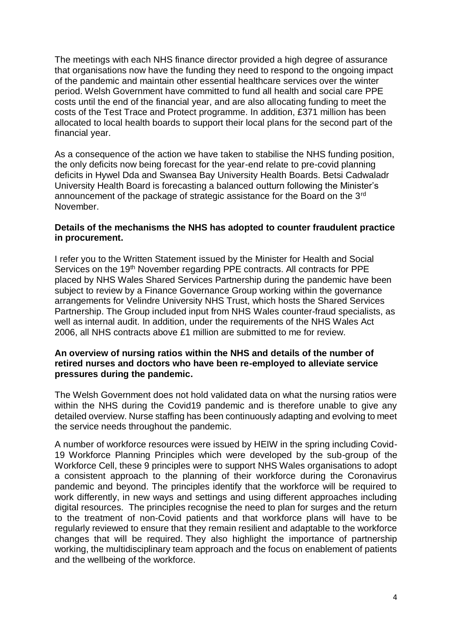The meetings with each NHS finance director provided a high degree of assurance that organisations now have the funding they need to respond to the ongoing impact of the pandemic and maintain other essential healthcare services over the winter period. Welsh Government have committed to fund all health and social care PPE costs until the end of the financial year, and are also allocating funding to meet the costs of the Test Trace and Protect programme. In addition, £371 million has been allocated to local health boards to support their local plans for the second part of the financial year.

As a consequence of the action we have taken to stabilise the NHS funding position, the only deficits now being forecast for the year-end relate to pre-covid planning deficits in Hywel Dda and Swansea Bay University Health Boards. Betsi Cadwaladr University Health Board is forecasting a balanced outturn following the Minister's announcement of the package of strategic assistance for the Board on the 3rd November.

#### **Details of the mechanisms the NHS has adopted to counter fraudulent practice in procurement.**

I refer you to the Written Statement issued by the Minister for Health and Social Services on the 19<sup>th</sup> November regarding PPE contracts. All contracts for PPE placed by NHS Wales Shared Services Partnership during the pandemic have been subject to review by a Finance Governance Group working within the governance arrangements for Velindre University NHS Trust, which hosts the Shared Services Partnership. The Group included input from NHS Wales counter-fraud specialists, as well as internal audit. In addition, under the requirements of the NHS Wales Act 2006, all NHS contracts above £1 million are submitted to me for review.

## **An overview of nursing ratios within the NHS and details of the number of retired nurses and doctors who have been re-employed to alleviate service pressures during the pandemic.**

The Welsh Government does not hold validated data on what the nursing ratios were within the NHS during the Covid19 pandemic and is therefore unable to give any detailed overview. Nurse staffing has been continuously adapting and evolving to meet the service needs throughout the pandemic.

A number of workforce resources were issued by HEIW in the spring including Covid-19 Workforce Planning Principles which were developed by the sub-group of the Workforce Cell, these 9 principles were to support NHS Wales organisations to adopt a consistent approach to the planning of their workforce during the Coronavirus pandemic and beyond. The principles identify that the workforce will be required to work differently, in new ways and settings and using different approaches including digital resources. The principles recognise the need to plan for surges and the return to the treatment of non-Covid patients and that workforce plans will have to be regularly reviewed to ensure that they remain resilient and adaptable to the workforce changes that will be required. They also highlight the importance of partnership working, the multidisciplinary team approach and the focus on enablement of patients and the wellbeing of the workforce.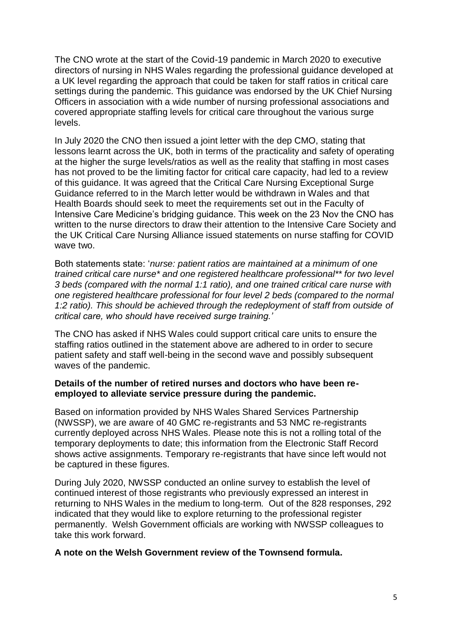The CNO wrote at the start of the Covid-19 pandemic in March 2020 to executive directors of nursing in NHS Wales regarding the professional guidance developed at a UK level regarding the approach that could be taken for staff ratios in critical care settings during the pandemic. This guidance was endorsed by the UK Chief Nursing Officers in association with a wide number of nursing professional associations and covered appropriate staffing levels for critical care throughout the various surge levels.

In July 2020 the CNO then issued a joint letter with the dep CMO, stating that lessons learnt across the UK, both in terms of the practicality and safety of operating at the higher the surge levels/ratios as well as the reality that staffing in most cases has not proved to be the limiting factor for critical care capacity, had led to a review of this guidance. It was agreed that the Critical Care Nursing Exceptional Surge Guidance referred to in the March letter would be withdrawn in Wales and that Health Boards should seek to meet the requirements set out in the Faculty of Intensive Care Medicine's bridging guidance. This week on the 23 Nov the CNO has written to the nurse directors to draw their attention to the Intensive Care Society and the UK Critical Care Nursing Alliance issued statements on nurse staffing for COVID wave two.

Both statements state: '*nurse: patient ratios are maintained at a minimum of one trained critical care nurse\* and one registered healthcare professional\*\* for two level 3 beds (compared with the normal 1:1 ratio), and one trained critical care nurse with one registered healthcare professional for four level 2 beds (compared to the normal 1:2 ratio). This should be achieved through the redeployment of staff from outside of critical care, who should have received surge training.'*

The CNO has asked if NHS Wales could support critical care units to ensure the staffing ratios outlined in the statement above are adhered to in order to secure patient safety and staff well-being in the second wave and possibly subsequent waves of the pandemic.

## **Details of the number of retired nurses and doctors who have been reemployed to alleviate service pressure during the pandemic.**

Based on information provided by NHS Wales Shared Services Partnership (NWSSP), we are aware of 40 GMC re-registrants and 53 NMC re-registrants currently deployed across NHS Wales. Please note this is not a rolling total of the temporary deployments to date; this information from the Electronic Staff Record shows active assignments. Temporary re-registrants that have since left would not be captured in these figures.

During July 2020, NWSSP conducted an online survey to establish the level of continued interest of those registrants who previously expressed an interest in returning to NHS Wales in the medium to long-term. Out of the 828 responses, 292 indicated that they would like to explore returning to the professional register permanently. Welsh Government officials are working with NWSSP colleagues to take this work forward.

## **A note on the Welsh Government review of the Townsend formula.**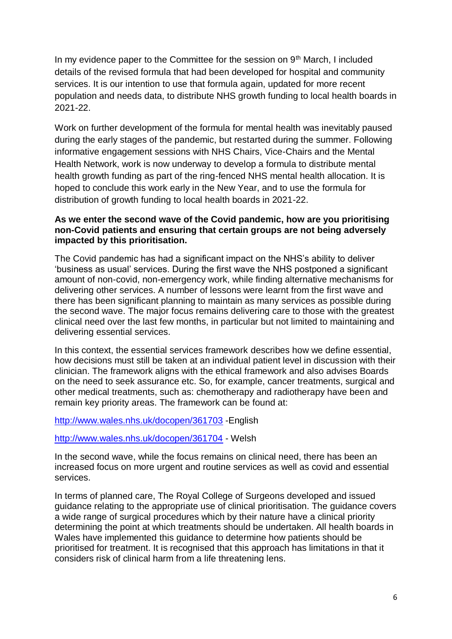In my evidence paper to the Committee for the session on 9<sup>th</sup> March, I included details of the revised formula that had been developed for hospital and community services. It is our intention to use that formula again, updated for more recent population and needs data, to distribute NHS growth funding to local health boards in 2021-22.

Work on further development of the formula for mental health was inevitably paused during the early stages of the pandemic, but restarted during the summer. Following informative engagement sessions with NHS Chairs, Vice-Chairs and the Mental Health Network, work is now underway to develop a formula to distribute mental health growth funding as part of the ring-fenced NHS mental health allocation. It is hoped to conclude this work early in the New Year, and to use the formula for distribution of growth funding to local health boards in 2021-22.

# **As we enter the second wave of the Covid pandemic, how are you prioritising non-Covid patients and ensuring that certain groups are not being adversely impacted by this prioritisation.**

The Covid pandemic has had a significant impact on the NHS's ability to deliver 'business as usual' services. During the first wave the NHS postponed a significant amount of non-covid, non-emergency work, while finding alternative mechanisms for delivering other services. A number of lessons were learnt from the first wave and there has been significant planning to maintain as many services as possible during the second wave. The major focus remains delivering care to those with the greatest clinical need over the last few months, in particular but not limited to maintaining and delivering essential services.

In this context, the essential services framework describes how we define essential, how decisions must still be taken at an individual patient level in discussion with their clinician. The framework aligns with the ethical framework and also advises Boards on the need to seek assurance etc. So, for example, cancer treatments, surgical and other medical treatments, such as: chemotherapy and radiotherapy have been and remain key priority areas. The framework can be found at:

[http://www.wales.nhs.uk/docopen/361703](https://eur01.safelinks.protection.outlook.com/?url=http%3A%2F%2Fwww.wales.nhs.uk%2Fdocopen%2F361703&data=04%7C01%7CRoger.Perks%40gov.wales%7Ccf9afb90e65945fa994f08d895594ca9%7Ca2cc36c592804ae78887d06dab89216b%7C0%7C0%7C637423558048231636%7CUnknown%7CTWFpbGZsb3d8eyJWIjoiMC4wLjAwMDAiLCJQIjoiV2luMzIiLCJBTiI6Ik1haWwiLCJXVCI6Mn0%3D%7C1000&sdata=M8j%2B4F2%2FpXK3VKm2ggM4NokixTplB0%2BiQtXvwTli%2F5E%3D&reserved=0) -English

## [http://www.wales.nhs.uk/docopen/361704](https://eur01.safelinks.protection.outlook.com/?url=http%3A%2F%2Fwww.wales.nhs.uk%2Fdocopen%2F361704&data=04%7C01%7CRoger.Perks%40gov.wales%7Ccf9afb90e65945fa994f08d895594ca9%7Ca2cc36c592804ae78887d06dab89216b%7C0%7C0%7C637423558048231636%7CUnknown%7CTWFpbGZsb3d8eyJWIjoiMC4wLjAwMDAiLCJQIjoiV2luMzIiLCJBTiI6Ik1haWwiLCJXVCI6Mn0%3D%7C1000&sdata=orjj0z1tNKvaGGgGWdtazFJufNDHge%2FQB2Le%2F5U8l8o%3D&reserved=0) - Welsh

In the second wave, while the focus remains on clinical need, there has been an increased focus on more urgent and routine services as well as covid and essential services.

In terms of planned care, The Royal College of Surgeons developed and issued guidance relating to the appropriate use of clinical prioritisation. The guidance covers a wide range of surgical procedures which by their nature have a clinical priority determining the point at which treatments should be undertaken. All health boards in Wales have implemented this guidance to determine how patients should be prioritised for treatment. It is recognised that this approach has limitations in that it considers risk of clinical harm from a life threatening lens.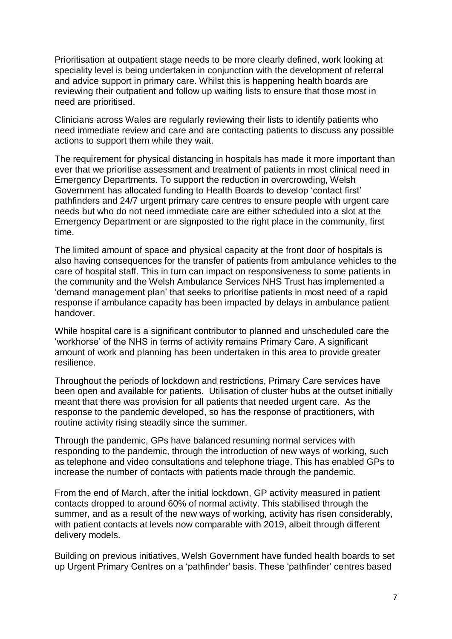Prioritisation at outpatient stage needs to be more clearly defined, work looking at speciality level is being undertaken in conjunction with the development of referral and advice support in primary care. Whilst this is happening health boards are reviewing their outpatient and follow up waiting lists to ensure that those most in need are prioritised.

Clinicians across Wales are regularly reviewing their lists to identify patients who need immediate review and care and are contacting patients to discuss any possible actions to support them while they wait.

The requirement for physical distancing in hospitals has made it more important than ever that we prioritise assessment and treatment of patients in most clinical need in Emergency Departments. To support the reduction in overcrowding, Welsh Government has allocated funding to Health Boards to develop 'contact first' pathfinders and 24/7 urgent primary care centres to ensure people with urgent care needs but who do not need immediate care are either scheduled into a slot at the Emergency Department or are signposted to the right place in the community, first time.

The limited amount of space and physical capacity at the front door of hospitals is also having consequences for the transfer of patients from ambulance vehicles to the care of hospital staff. This in turn can impact on responsiveness to some patients in the community and the Welsh Ambulance Services NHS Trust has implemented a 'demand management plan' that seeks to prioritise patients in most need of a rapid response if ambulance capacity has been impacted by delays in ambulance patient handover.

While hospital care is a significant contributor to planned and unscheduled care the 'workhorse' of the NHS in terms of activity remains Primary Care. A significant amount of work and planning has been undertaken in this area to provide greater resilience.

Throughout the periods of lockdown and restrictions, Primary Care services have been open and available for patients. Utilisation of cluster hubs at the outset initially meant that there was provision for all patients that needed urgent care. As the response to the pandemic developed, so has the response of practitioners, with routine activity rising steadily since the summer.

Through the pandemic, GPs have balanced resuming normal services with responding to the pandemic, through the introduction of new ways of working, such as telephone and video consultations and telephone triage. This has enabled GPs to increase the number of contacts with patients made through the pandemic.

From the end of March, after the initial lockdown, GP activity measured in patient contacts dropped to around 60% of normal activity. This stabilised through the summer, and as a result of the new ways of working, activity has risen considerably, with patient contacts at levels now comparable with 2019, albeit through different delivery models.

Building on previous initiatives, Welsh Government have funded health boards to set up Urgent Primary Centres on a 'pathfinder' basis. These 'pathfinder' centres based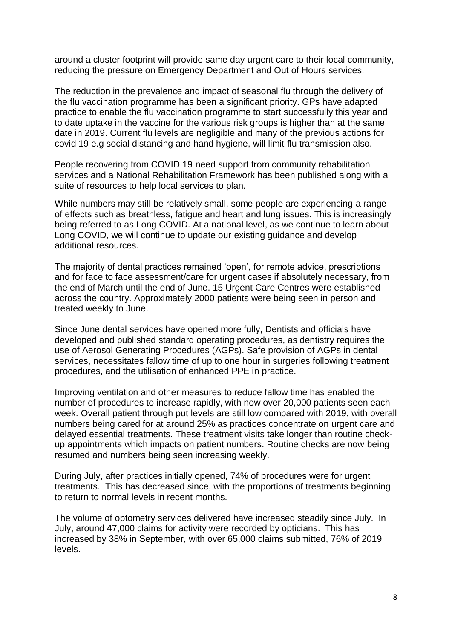around a cluster footprint will provide same day urgent care to their local community, reducing the pressure on Emergency Department and Out of Hours services,

The reduction in the prevalence and impact of seasonal flu through the delivery of the flu vaccination programme has been a significant priority. GPs have adapted practice to enable the flu vaccination programme to start successfully this year and to date uptake in the vaccine for the various risk groups is higher than at the same date in 2019. Current flu levels are negligible and many of the previous actions for covid 19 e.g social distancing and hand hygiene, will limit flu transmission also.

People recovering from COVID 19 need support from community rehabilitation services and a National Rehabilitation Framework has been published along with a suite of resources to help local services to plan.

While numbers may still be relatively small, some people are experiencing a range of effects such as breathless, fatigue and heart and lung issues. This is increasingly being referred to as Long COVID. At a national level, as we continue to learn about Long COVID, we will continue to update our existing guidance and develop additional resources.

The majority of dental practices remained 'open', for remote advice, prescriptions and for face to face assessment/care for urgent cases if absolutely necessary, from the end of March until the end of June. 15 Urgent Care Centres were established across the country. Approximately 2000 patients were being seen in person and treated weekly to June.

Since June dental services have opened more fully, Dentists and officials have developed and published standard operating procedures, as dentistry requires the use of Aerosol Generating Procedures (AGPs). Safe provision of AGPs in dental services, necessitates fallow time of up to one hour in surgeries following treatment procedures, and the utilisation of enhanced PPE in practice.

Improving ventilation and other measures to reduce fallow time has enabled the number of procedures to increase rapidly, with now over 20,000 patients seen each week. Overall patient through put levels are still low compared with 2019, with overall numbers being cared for at around 25% as practices concentrate on urgent care and delayed essential treatments. These treatment visits take longer than routine checkup appointments which impacts on patient numbers. Routine checks are now being resumed and numbers being seen increasing weekly.

During July, after practices initially opened, 74% of procedures were for urgent treatments. This has decreased since, with the proportions of treatments beginning to return to normal levels in recent months.

The volume of optometry services delivered have increased steadily since July. In July, around 47,000 claims for activity were recorded by opticians. This has increased by 38% in September, with over 65,000 claims submitted, 76% of 2019 levels.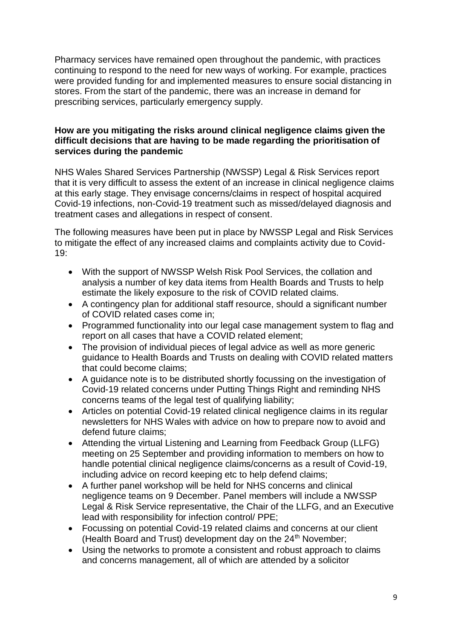Pharmacy services have remained open throughout the pandemic, with practices continuing to respond to the need for new ways of working. For example, practices were provided funding for and implemented measures to ensure social distancing in stores. From the start of the pandemic, there was an increase in demand for prescribing services, particularly emergency supply.

# **How are you mitigating the risks around clinical negligence claims given the difficult decisions that are having to be made regarding the prioritisation of services during the pandemic**

NHS Wales Shared Services Partnership (NWSSP) Legal & Risk Services report that it is very difficult to assess the extent of an increase in clinical negligence claims at this early stage. They envisage concerns/claims in respect of hospital acquired Covid-19 infections, non-Covid-19 treatment such as missed/delayed diagnosis and treatment cases and allegations in respect of consent.

The following measures have been put in place by NWSSP Legal and Risk Services to mitigate the effect of any increased claims and complaints activity due to Covid-19:

- With the support of NWSSP Welsh Risk Pool Services, the collation and analysis a number of key data items from Health Boards and Trusts to help estimate the likely exposure to the risk of COVID related claims.
- A contingency plan for additional staff resource, should a significant number of COVID related cases come in;
- Programmed functionality into our legal case management system to flag and report on all cases that have a COVID related element;
- The provision of individual pieces of legal advice as well as more generic guidance to Health Boards and Trusts on dealing with COVID related matters that could become claims;
- A guidance note is to be distributed shortly focussing on the investigation of Covid-19 related concerns under Putting Things Right and reminding NHS concerns teams of the legal test of qualifying liability;
- Articles on potential Covid-19 related clinical negligence claims in its regular newsletters for NHS Wales with advice on how to prepare now to avoid and defend future claims;
- Attending the virtual Listening and Learning from Feedback Group (LLFG) meeting on 25 September and providing information to members on how to handle potential clinical negligence claims/concerns as a result of Covid-19, including advice on record keeping etc to help defend claims;
- A further panel workshop will be held for NHS concerns and clinical negligence teams on 9 December. Panel members will include a NWSSP Legal & Risk Service representative, the Chair of the LLFG, and an Executive lead with responsibility for infection control/ PPE;
- Focussing on potential Covid-19 related claims and concerns at our client (Health Board and Trust) development day on the  $24<sup>th</sup>$  November;
- Using the networks to promote a consistent and robust approach to claims and concerns management, all of which are attended by a solicitor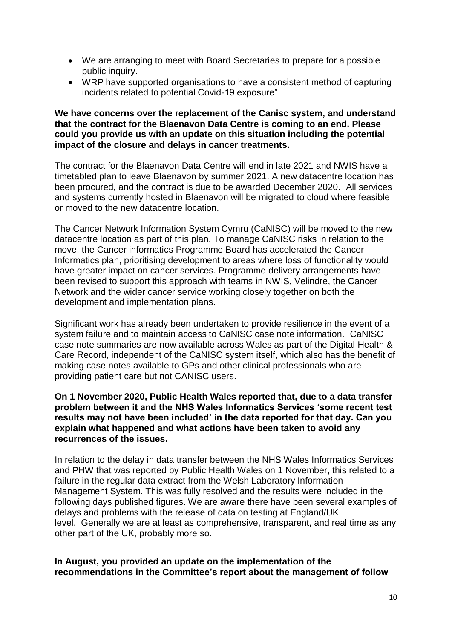- We are arranging to meet with Board Secretaries to prepare for a possible public inquiry.
- WRP have supported organisations to have a consistent method of capturing incidents related to potential Covid-19 exposure"

#### **We have concerns over the replacement of the Canisc system, and understand that the contract for the Blaenavon Data Centre is coming to an end. Please could you provide us with an update on this situation including the potential impact of the closure and delays in cancer treatments.**

The contract for the Blaenavon Data Centre will end in late 2021 and NWIS have a timetabled plan to leave Blaenavon by summer 2021. A new datacentre location has been procured, and the contract is due to be awarded December 2020. All services and systems currently hosted in Blaenavon will be migrated to cloud where feasible or moved to the new datacentre location.

The Cancer Network Information System Cymru (CaNISC) will be moved to the new datacentre location as part of this plan. To manage CaNISC risks in relation to the move, the Cancer informatics Programme Board has accelerated the Cancer Informatics plan, prioritising development to areas where loss of functionality would have greater impact on cancer services. Programme delivery arrangements have been revised to support this approach with teams in NWIS, Velindre, the Cancer Network and the wider cancer service working closely together on both the development and implementation plans.

Significant work has already been undertaken to provide resilience in the event of a system failure and to maintain access to CaNISC case note information. CaNISC case note summaries are now available across Wales as part of the Digital Health & Care Record, independent of the CaNISC system itself, which also has the benefit of making case notes available to GPs and other clinical professionals who are providing patient care but not CANISC users.

### **On 1 November 2020, Public Health Wales reported that, due to a data transfer problem between it and the NHS Wales Informatics Services 'some recent test results may not have been included' in the data reported for that day. Can you explain what happened and what actions have been taken to avoid any recurrences of the issues.**

In relation to the delay in data transfer between the NHS Wales Informatics Services and PHW that was reported by Public Health Wales on 1 November, this related to a failure in the regular data extract from the Welsh Laboratory Information Management System. This was fully resolved and the results were included in the following days published figures. We are aware there have been several examples of delays and problems with the release of data on testing at England/UK level. Generally we are at least as comprehensive, transparent, and real time as any other part of the UK, probably more so.

**In August, you provided an update on the implementation of the recommendations in the Committee's report about the management of follow**